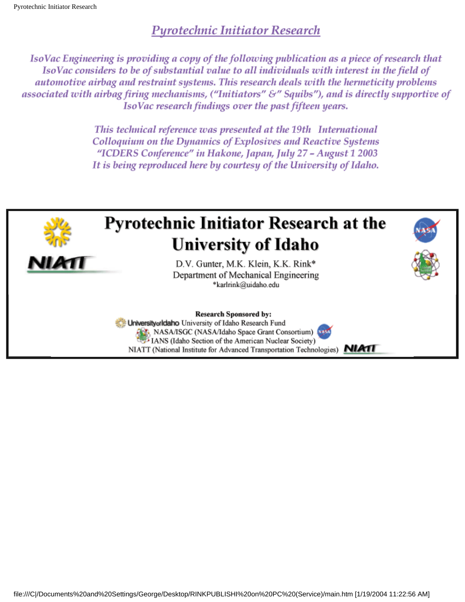#### **Purotechnic Initiator Research**

IsoVac Engineering is providing a copy of the following publication as a piece of research that IsoVac considers to be of substantial value to all individuals with interest in the field of automotive airbag and restraint systems. This research deals with the hermeticity problems associated with airbag firing mechanisms, ("Initiators" &" Squibs"), and is directly supportive of IsoVac research findings over the past fifteen years.

> This technical reference was presented at the 19th International Colloquium on the Dynamics of Explosives and Reactive Systems "ICDERS Conference" in Hakone, Japan, July 27 - August 1 2003 It is being reproduced here by courtesy of the University of Idaho.



# **Pyrotechnic Initiator Research at the University of Idaho**



D.V. Gunter, M.K. Klein, K.K. Rink\* Department of Mechanical Engineering \*karlrink@uidaho.edu





University orldaho University of Idaho Research Fund NASA/ISGC (NASA/Idaho Space Grant Consortium)

IANS (Idaho Section of the American Nuclear Society)

NIATT (National Institute for Advanced Transportation Technologies) **NIATI**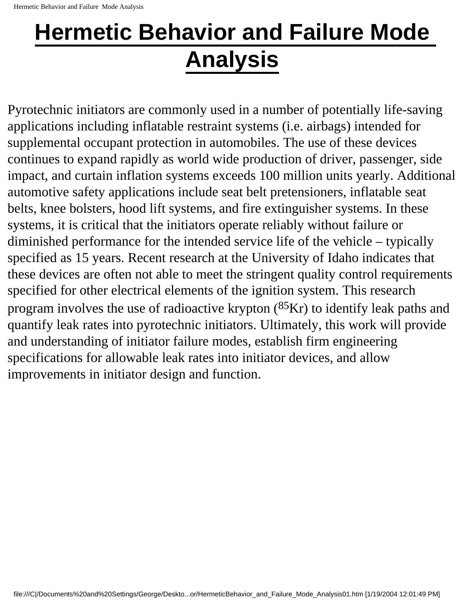# **Hermetic Behavior and Failure Mode Analysis**

Pyrotechnic initiators are commonly used in a number of potentially life-saving applications including inflatable restraint systems (i.e. airbags) intended for supplemental occupant protection in automobiles. The use of these devices continues to expand rapidly as world wide production of driver, passenger, side impact, and curtain inflation systems exceeds 100 million units yearly. Additional automotive safety applications include seat belt pretensioners, inflatable seat belts, knee bolsters, hood lift systems, and fire extinguisher systems. In these systems, it is critical that the initiators operate reliably without failure or diminished performance for the intended service life of the vehicle – typically specified as 15 years. Recent research at the University of Idaho indicates that these devices are often not able to meet the stringent quality control requirements specified for other electrical elements of the ignition system. This research program involves the use of radioactive krypton  $(^{85}Kr)$  to identify leak paths and quantify leak rates into pyrotechnic initiators. Ultimately, this work will provide and understanding of initiator failure modes, establish firm engineering specifications for allowable leak rates into initiator devices, and allow improvements in initiator design and function.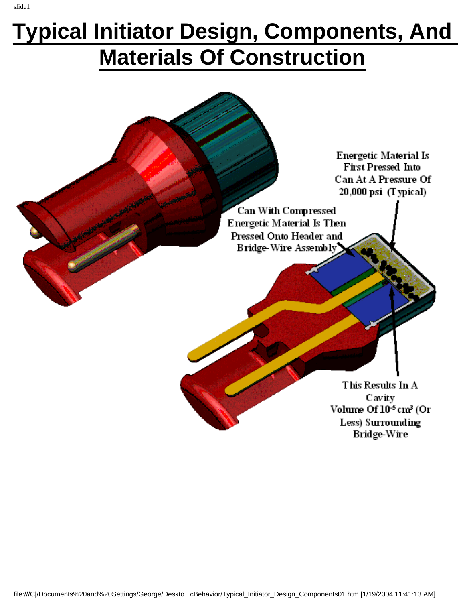# **Typical Initiator Design, Components, And Materials Of Construction**

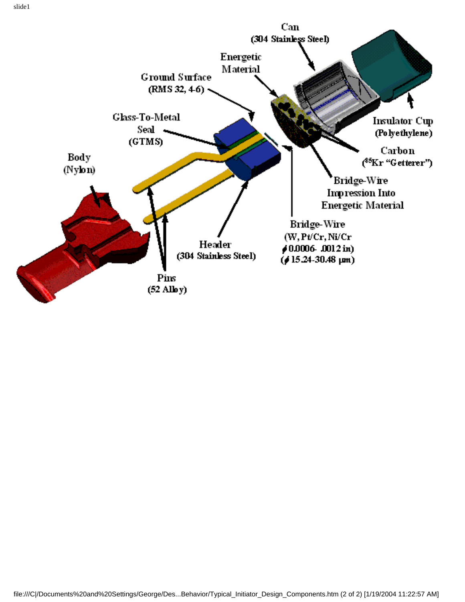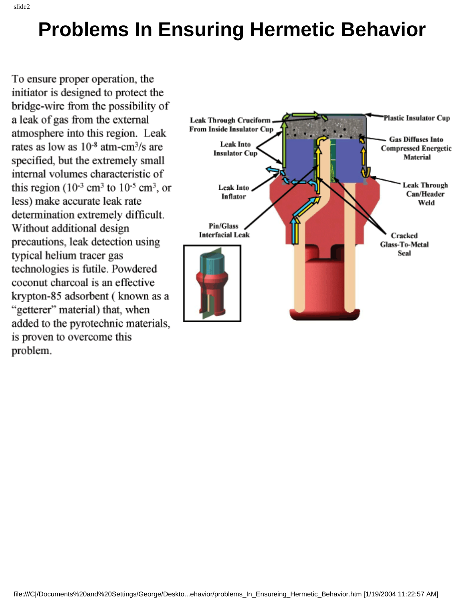# **Problems In Ensuring Hermetic Behavior**

To ensure proper operation, the initiator is designed to protect the bridge-wire from the possibility of a leak of gas from the external atmosphere into this region. Leak rates as low as  $10^{-8}$  atm-cm<sup>3</sup>/s are specified, but the extremely small internal volumes characteristic of this region  $(10^{-3} \text{ cm}^3 \text{ to } 10^{-5} \text{ cm}^3)$ , or less) make accurate leak rate determination extremely difficult. Without additional design precautions, leak detection using typical helium tracer gas technologies is futile. Powdered coconut charcoal is an effective krypton-85 adsorbent (known as a "getterer" material) that, when added to the pyrotechnic materials, is proven to overcome this problem.

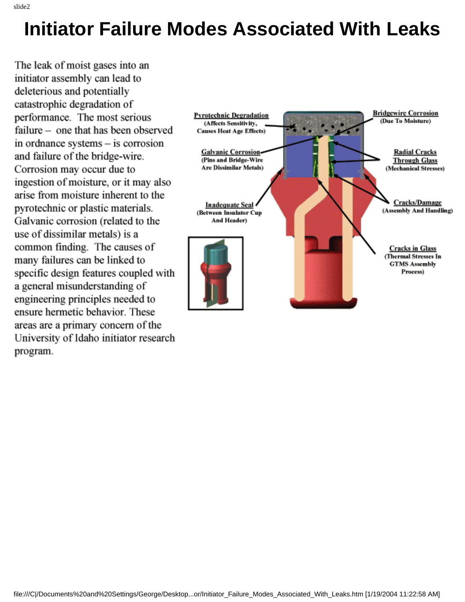### **Initiator Failure Modes Associated With Leaks**

The leak of moist gases into an initiator assembly can lead to deleterious and potentially catastrophic degradation of performance. The most serious failure – one that has been observed in ordnance systems - is corrosion and failure of the bridge-wire. Corrosion may occur due to ingestion of moisture, or it may also arise from moisture inherent to the pyrotechnic or plastic materials. Galvanic corrosion (related to the use of dissimilar metals) is a common finding. The causes of many failures can be linked to specific design features coupled with a general misunderstanding of engineering principles needed to ensure hermetic behavior. These areas are a primary concern of the University of Idaho initiator research program.

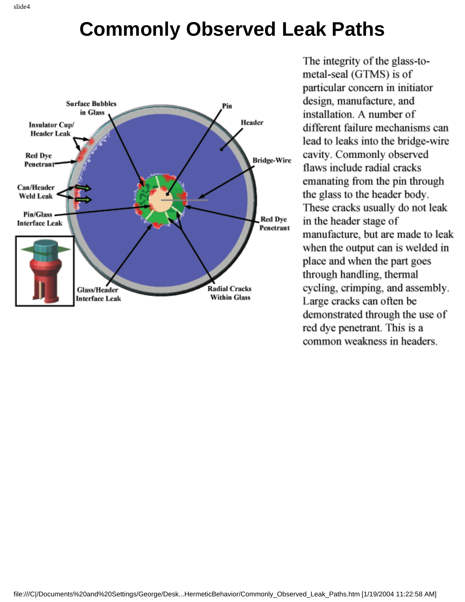# **Commonly Observed Leak Paths**



The integrity of the glass-tometal-seal (GTMS) is of particular concern in initiator design, manufacture, and installation. A number of different failure mechanisms can lead to leaks into the bridge-wire cavity. Commonly observed flaws include radial cracks emanating from the pin through the glass to the header body. These cracks usually do not leak in the header stage of manufacture, but are made to leak when the output can is welded in place and when the part goes through handling, thermal cycling, crimping, and assembly. Large cracks can often be demonstrated through the use of red dye penetrant. This is a common weakness in headers.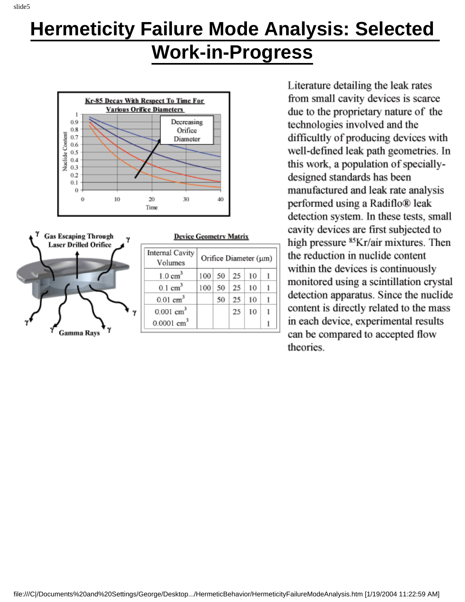# **Hermeticity Failure Mode Analysis: Selected**

#### **Work-in-Progress**



| <b>Gas Escaping Through</b><br><b>Laser Drilled Orifice</b> | <b>Device Geometry Matrix</b> |                       |    |    |    |  |
|-------------------------------------------------------------|-------------------------------|-----------------------|----|----|----|--|
|                                                             | Internal Cavity<br>Volumes    | Orifice Diameter (um) |    |    |    |  |
|                                                             | $1.0 \text{ cm}^3$            | 100                   | 50 | 25 | 10 |  |
|                                                             | $0.1 \text{ cm}^3$            | 100                   | 50 | 25 | 10 |  |
|                                                             | $0.01$ cm <sup>3</sup>        |                       | 50 | 25 | 10 |  |
|                                                             | $0.001$ cm <sup>3</sup>       |                       |    | 25 | 10 |  |
|                                                             | $0.0001$ cm <sup>3</sup>      |                       |    |    |    |  |
| Gamma Rays                                                  |                               |                       |    |    |    |  |

Literature detailing the leak rates from small cavity devices is scarce due to the proprietary nature of the technologies involved and the difficultly of producing devices with well-defined leak path geometries. In this work, a population of speciallydesigned standards has been manufactured and leak rate analysis performed using a Radiflo® leak detection system. In these tests, small cavity devices are first subjected to high pressure <sup>85</sup>Kr/air mixtures. Then the reduction in nuclide content within the devices is continuously monitored using a scintillation crystal detection apparatus. Since the nuclide content is directly related to the mass in each device, experimental results can be compared to accepted flow theories.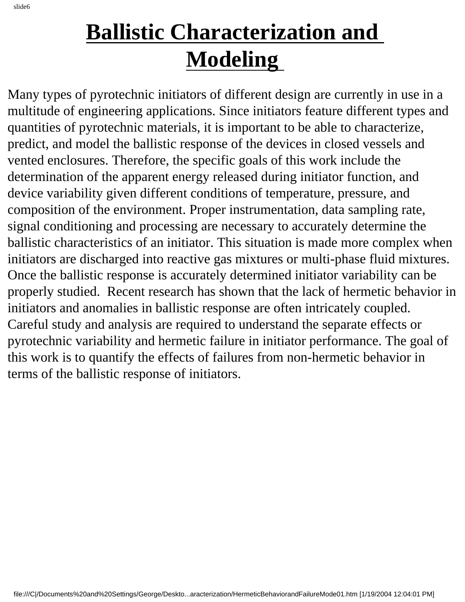# **Ballistic Characterization and Modeling**

Many types of pyrotechnic initiators of different design are currently in use in a multitude of engineering applications. Since initiators feature different types and quantities of pyrotechnic materials, it is important to be able to characterize, predict, and model the ballistic response of the devices in closed vessels and vented enclosures. Therefore, the specific goals of this work include the determination of the apparent energy released during initiator function, and device variability given different conditions of temperature, pressure, and composition of the environment. Proper instrumentation, data sampling rate, signal conditioning and processing are necessary to accurately determine the ballistic characteristics of an initiator. This situation is made more complex when initiators are discharged into reactive gas mixtures or multi-phase fluid mixtures. Once the ballistic response is accurately determined initiator variability can be properly studied. Recent research has shown that the lack of hermetic behavior in initiators and anomalies in ballistic response are often intricately coupled. Careful study and analysis are required to understand the separate effects or pyrotechnic variability and hermetic failure in initiator performance. The goal of this work is to quantify the effects of failures from non-hermetic behavior in terms of the ballistic response of initiators.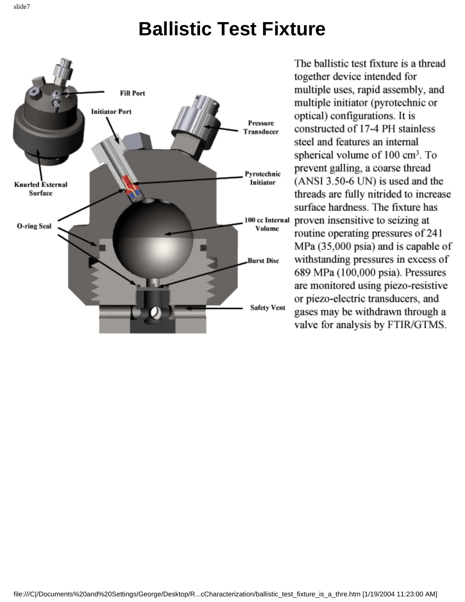### **Ballistic Test Fixture**



The ballistic test fixture is a thread together device intended for multiple uses, rapid assembly, and multiple initiator (pyrotechnic or optical) configurations. It is constructed of 17-4 PH stainless steel and features an internal spherical volume of  $100 \text{ cm}^3$ . To prevent galling, a coarse thread  $(ANSI 3.50-6 UN)$  is used and the threads are fully nitrided to increase surface hardness. The fixture has 100 cc Internal proven insensitive to seizing at routine operating pressures of 241 MPa (35,000 psia) and is capable of withstanding pressures in excess of 689 MPa (100,000 psia). Pressures are monitored using piezo-resistive or piezo-electric transducers, and gases may be withdrawn through a valve for analysis by FTIR/GTMS.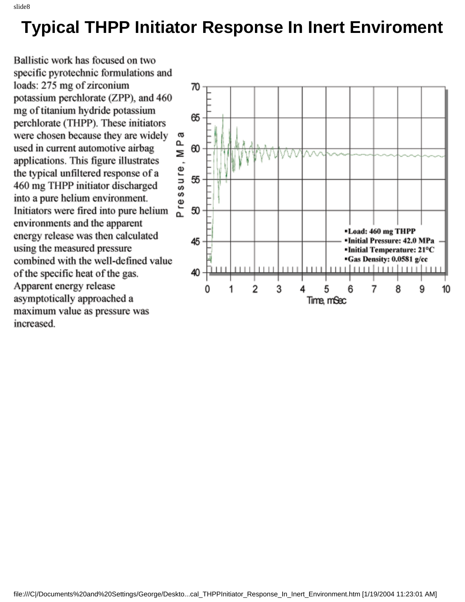#### **Typical THPP Initiator Response In Inert Enviroment**

Ballistic work has focused on two specific pyrotechnic formulations and loads: 275 mg of zirconium potassium perchlorate (ZPP), and 460 mg of titanium hydride potassium perchlorate (THPP). These initiators were chosen because they are widely used in current automotive airbag applications. This figure illustrates the typical unfiltered response of a 460 mg THPP initiator discharged into a pure helium environment. Initiators were fired into pure helium environments and the apparent energy release was then calculated using the measured pressure combined with the well-defined value of the specific heat of the gas. Apparent energy release asymptotically approached a maximum value as pressure was increased.

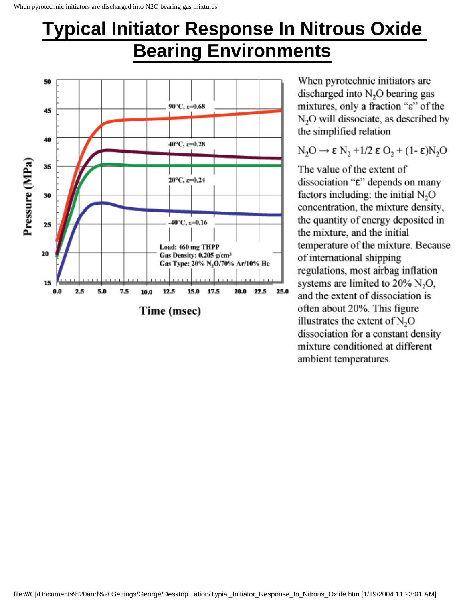#### **Typical Initiator Response In Nitrous Oxide**

### **Bearing Environments**



When pyrotechnic initiators are discharged into  $N<sub>2</sub>O$  bearing gas mixtures, only a fraction " $\varepsilon$ " of the N<sub>2</sub>O will dissociate, as described by the simplified relation

 $N_2O \rightarrow \epsilon N_2 + 1/2 \epsilon O_2 + (1-\epsilon)N_2O$ 

The value of the extent of dissociation "ε" depends on many factors including: the initial N<sub>2</sub>O concentration, the mixture density, the quantity of energy deposited in the mixture, and the initial temperature of the mixture. Because of international shipping regulations, most airbag inflation systems are limited to  $20\%$  N<sub>2</sub>O, and the extent of dissociation is often about 20%. This figure illustrates the extent of  $N_2O$ dissociation for a constant density mixture conditioned at different ambient temperatures.